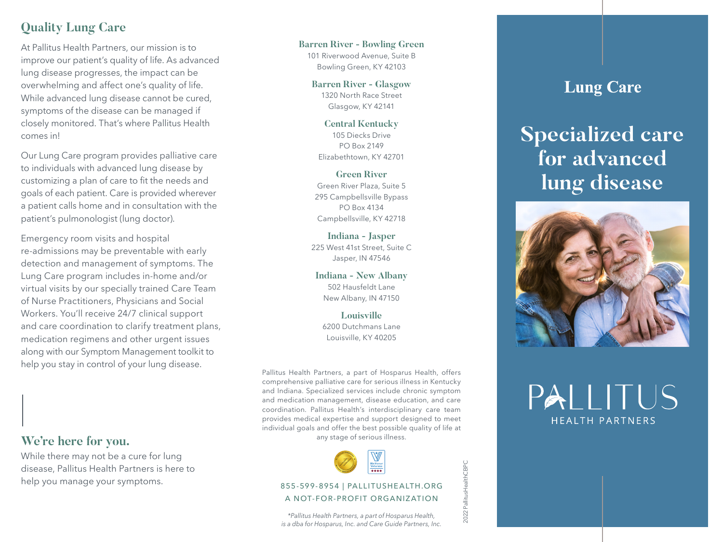### **Quality Lung Care**

At Pallitus Health Partners, our mission is to improve our patient's quality of life. As advanced lung disease progresses, the impact can be overwhelming and affect one's quality of life. While advanced lung disease cannot be cured, symptoms of the disease can be managed if closely monitored. That's where Pallitus Health comes in!

Our Lung Care program provides palliative care to individuals with advanced lung disease by customizing a plan of care to fit the needs and goals of each patient. Care is provided wherever a patient calls home and in consultation with the patient's pulmonologist (lung doctor).

Emergency room visits and hospital re-admissions may be preventable with early detection and management of symptoms. The Lung Care program includes in-home and/or virtual visits by our specially trained Care Team of Nurse Practitioners, Physicians and Social Workers. You'll receive 24/7 clinical support and care coordination to clarify treatment plans, medication regimens and other urgent issues along with our Symptom Management toolkit to help you stay in control of your lung disease.

**We're here for you.**

While there may not be a cure for lung disease, Pallitus Health Partners is here to help you manage your symptoms.

**Barren River - Bowling Green** 101 Riverwood Avenue, Suite B Bowling Green, KY 42103

> **Barren River - Glasgow** 1320 North Race Street Glasgow, KY 42141

**Central Kentucky**  105 Diecks Drive PO Box 2149 Elizabethtown, KY 42701

**Green River**  Green River Plaza, Suite 5 295 Campbellsville Bypass PO Box 4134 Campbellsville, KY 42718

**Indiana - Jasper**  225 West 41st Street, Suite C Jasper, IN 47546

**Indiana - New Albany** 502 Hausfeldt Lane New Albany, IN 47150

**Louisville**  6200 Dutchmans Lane Louisville, KY 40205

Pallitus Health Partners, a part of Hosparus Health, offers comprehensive palliative care for serious illness in Kentucky and Indiana. Specialized services include chronic symptom and medication management, disease education, and care coordination. Pallitus Health's interdisciplinary care team provides medical expertise and support designed to meet individual goals and offer the best possible quality of life at any stage of serious illness.



#### 855-599-8954 | PALLITUSHEALTH.ORG A NOT-FOR-PROFIT ORGANIZATION

*\*Pallitus Health Partners, a part of Hosparus Health, is a dba for Hosparus, Inc. and Care Guide Partners, Inc.*

# **Lung Care**

# **Specialized care for advanced lung disease**



PAI I ITUS **HEALTH PARTNERS** 

2022 PallitusHealthCBPC 2022 PallitusHealthCBPC